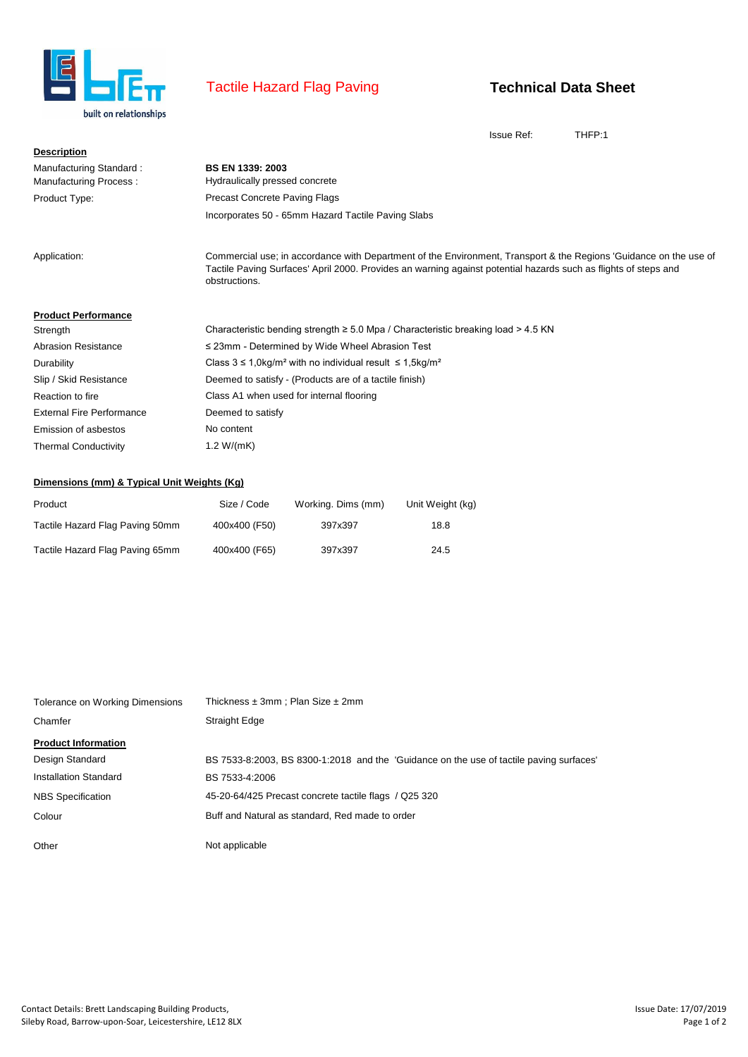

## Tactile Hazard Flag Paving

## **Technical Data Sheet**

Issue Ref: THFP:1

| <b>Description</b>                                       |                                                                                                                                                                                                                                                       |
|----------------------------------------------------------|-------------------------------------------------------------------------------------------------------------------------------------------------------------------------------------------------------------------------------------------------------|
| Manufacturing Standard:<br><b>Manufacturing Process:</b> | <b>BS EN 1339: 2003</b><br>Hydraulically pressed concrete                                                                                                                                                                                             |
| Product Type:                                            | <b>Precast Concrete Paving Flags</b>                                                                                                                                                                                                                  |
|                                                          | Incorporates 50 - 65mm Hazard Tactile Paving Slabs                                                                                                                                                                                                    |
| Application:                                             | Commercial use; in accordance with Department of the Environment, Transport & the Regions 'Guidance on the use of<br>Tactile Paving Surfaces' April 2000. Provides an warning against potential hazards such as flights of steps and<br>obstructions. |
| <b>Product Performance</b>                               |                                                                                                                                                                                                                                                       |
| Strength                                                 | Characteristic bending strength $\geq 5.0$ Mpa / Characteristic breaking load $> 4.5$ KN                                                                                                                                                              |
| <b>Abrasion Resistance</b>                               | $\leq$ 23mm - Determined by Wide Wheel Abrasion Test                                                                                                                                                                                                  |
| Durability                                               | Class $3 ≤ 1,0\text{kg/m}^2$ with no individual result $≤ 1,5\text{kg/m}^2$                                                                                                                                                                           |
| Slip / Skid Resistance                                   | Deemed to satisfy - (Products are of a tactile finish)                                                                                                                                                                                                |
| Reaction to fire                                         | Class A1 when used for internal flooring                                                                                                                                                                                                              |
| <b>External Fire Performance</b>                         | Deemed to satisfy                                                                                                                                                                                                                                     |
| <b>Emission of asbestos</b>                              | No content                                                                                                                                                                                                                                            |
| <b>Thermal Conductivity</b>                              | 1.2 $W/(mK)$                                                                                                                                                                                                                                          |

## **Dimensions (mm) & Typical Unit Weights (Kg)**

| Product                         | Size / Code   | Working. Dims (mm) | Unit Weight (kg) |
|---------------------------------|---------------|--------------------|------------------|
| Tactile Hazard Flag Paving 50mm | 400x400 (F50) | 397x397            | 18.8             |
| Tactile Hazard Flag Paving 65mm | 400x400 (F65) | 397x397            | 24.5             |

| Tolerance on Working Dimensions | Thickness $\pm 3$ mm; Plan Size $\pm 2$ mm                                              |
|---------------------------------|-----------------------------------------------------------------------------------------|
| Chamfer                         | <b>Straight Edge</b>                                                                    |
| <b>Product Information</b>      |                                                                                         |
| Design Standard                 | BS 7533-8:2003, BS 8300-1:2018 and the 'Guidance on the use of tactile paving surfaces' |
| Installation Standard           | BS 7533-4:2006                                                                          |
| <b>NBS</b> Specification        | 45-20-64/425 Precast concrete tactile flags / Q25 320                                   |
| Colour                          | Buff and Natural as standard, Red made to order                                         |
|                                 |                                                                                         |
| Other                           | Not applicable                                                                          |